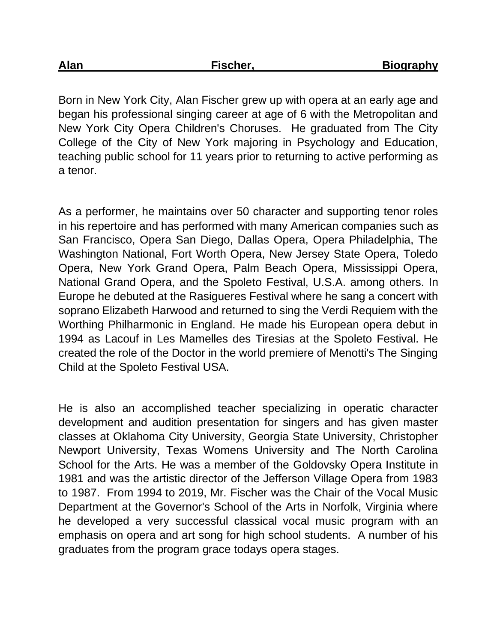Born in New York City, Alan Fischer grew up with opera at an early age and began his professional singing career at age of 6 with the Metropolitan and New York City Opera Children's Choruses. He graduated from The City College of the City of New York majoring in Psychology and Education, teaching public school for 11 years prior to returning to active performing as a tenor.

As a performer, he maintains over 50 character and supporting tenor roles in his repertoire and has performed with many American companies such as San Francisco, Opera San Diego, Dallas Opera, Opera Philadelphia, The Washington National, Fort Worth Opera, New Jersey State Opera, Toledo Opera, New York Grand Opera, Palm Beach Opera, Mississippi Opera, National Grand Opera, and the Spoleto Festival, U.S.A. among others. In Europe he debuted at the Rasigueres Festival where he sang a concert with soprano Elizabeth Harwood and returned to sing the Verdi Requiem with the Worthing Philharmonic in England. He made his European opera debut in 1994 as Lacouf in Les Mamelles des Tiresias at the Spoleto Festival. He created the role of the Doctor in the world premiere of Menotti's The Singing Child at the Spoleto Festival USA.

He is also an accomplished teacher specializing in operatic character development and audition presentation for singers and has given master classes at Oklahoma City University, Georgia State University, Christopher Newport University, Texas Womens University and The North Carolina School for the Arts. He was a member of the Goldovsky Opera Institute in 1981 and was the artistic director of the Jefferson Village Opera from 1983 to 1987. From 1994 to 2019, Mr. Fischer was the Chair of the Vocal Music Department at the Governor's School of the Arts in Norfolk, Virginia where he developed a very successful classical vocal music program with an emphasis on opera and art song for high school students. A number of his graduates from the program grace todays opera stages.